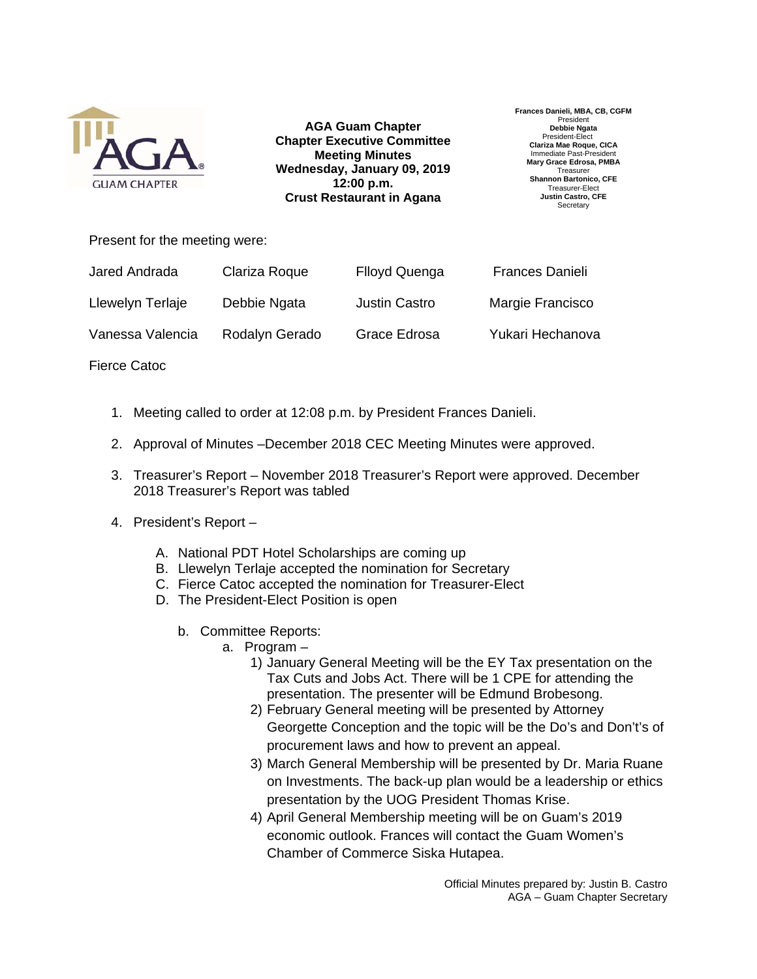

**AGA Guam Chapter Chapter Executive Committee Meeting Minutes Wednesday, January 09, 2019 12:00 p.m. Crust Restaurant in Agana**

**Frances Danieli, MBA, CB, CGFM**  Presiden **Debbie Ngata**  President-Elect **Clariza Mae Roque, CICA**  Immediate Past-President **Mary Grace Edrosa, PMBA Treasurer Shannon Bartonico, CFE**  Treasurer-Elect **Justin Castro, CFE Secretary** 

Present for the meeting were:

| Jared Andrada    | Clariza Roque  | <b>Flloyd Quenga</b> | <b>Frances Danieli</b> |
|------------------|----------------|----------------------|------------------------|
| Llewelyn Terlaje | Debbie Ngata   | <b>Justin Castro</b> | Margie Francisco       |
| Vanessa Valencia | Rodalyn Gerado | Grace Edrosa         | Yukari Hechanova       |

Fierce Catoc

- 1. Meeting called to order at 12:08 p.m. by President Frances Danieli.
- 2. Approval of Minutes –December 2018 CEC Meeting Minutes were approved.
- 3. Treasurer's Report November 2018 Treasurer's Report were approved. December 2018 Treasurer's Report was tabled
- 4. President's Report
	- A. National PDT Hotel Scholarships are coming up
	- B. Llewelyn Terlaje accepted the nomination for Secretary
	- C. Fierce Catoc accepted the nomination for Treasurer-Elect
	- D. The President-Elect Position is open
		- b. Committee Reports:
			- a. Program
				- 1) January General Meeting will be the EY Tax presentation on the Tax Cuts and Jobs Act. There will be 1 CPE for attending the presentation. The presenter will be Edmund Brobesong.
				- 2) February General meeting will be presented by Attorney Georgette Conception and the topic will be the Do's and Don't's of procurement laws and how to prevent an appeal.
				- 3) March General Membership will be presented by Dr. Maria Ruane on Investments. The back-up plan would be a leadership or ethics presentation by the UOG President Thomas Krise.
				- 4) April General Membership meeting will be on Guam's 2019 economic outlook. Frances will contact the Guam Women's Chamber of Commerce Siska Hutapea.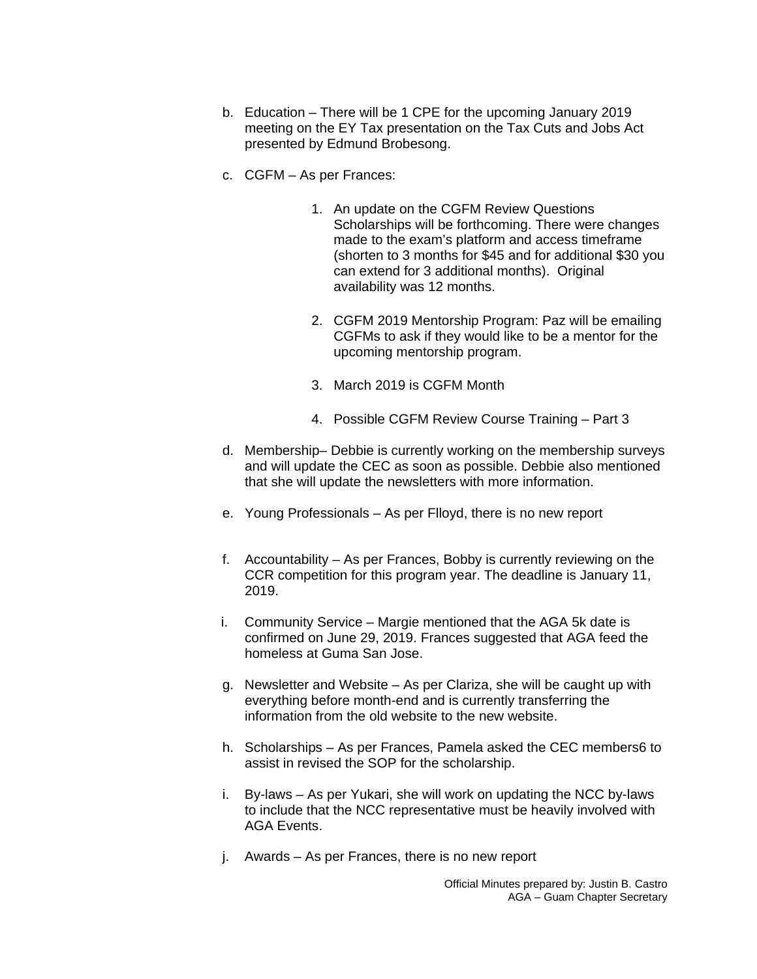- b. Education There will be 1 CPE for the upcoming January 2019 meeting on the EY Tax presentation on the Tax Cuts and Jobs Act presented by Edmund Brobesong.
- c. CGFM As per Frances:
	- 1. An update on the CGFM Review Questions Scholarships will be forthcoming. There were changes made to the exam's platform and access timeframe (shorten to 3 months for \$45 and for additional \$30 you can extend for 3 additional months). Original availability was 12 months.
	- 2. CGFM 2019 Mentorship Program: Paz will be emailing CGFMs to ask if they would like to be a mentor for the upcoming mentorship program.
	- 3. March 2019 is CGFM Month
	- 4. Possible CGFM Review Course Training Part 3
- d. Membership– Debbie is currently working on the membership surveys and will update the CEC as soon as possible. Debbie also mentioned that she will update the newsletters with more information.
- e. Young Professionals As per Flloyd, there is no new report
- f. Accountability As per Frances, Bobby is currently reviewing on the CCR competition for this program year. The deadline is January 11, 2019.
- i. Community Service Margie mentioned that the AGA 5k date is confirmed on June 29, 2019. Frances suggested that AGA feed the homeless at Guma San Jose.
- g. Newsletter and Website As per Clariza, she will be caught up with everything before month-end and is currently transferring the information from the old website to the new website.
- h. Scholarships As per Frances, Pamela asked the CEC members6 to assist in revised the SOP for the scholarship.
- i. By-laws As per Yukari, she will work on updating the NCC by-laws to include that the NCC representative must be heavily involved with AGA Events.
- j. Awards As per Frances, there is no new report